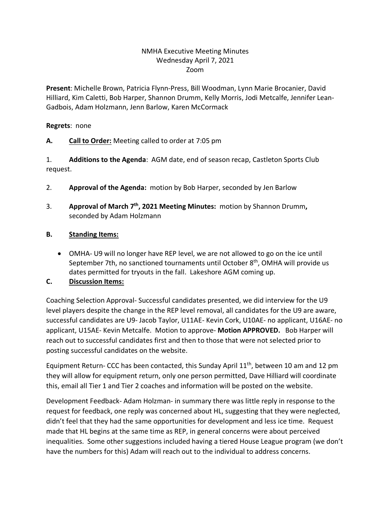## NMHA Executive Meeting Minutes Wednesday April 7, 2021 Zoom

**Present**: Michelle Brown, Patricia Flynn-Press, Bill Woodman, Lynn Marie Brocanier, David Hilliard, Kim Caletti, Bob Harper, Shannon Drumm, Kelly Morris, Jodi Metcalfe, Jennifer Lean-Gadbois, Adam Holzmann, Jenn Barlow, Karen McCormack

#### **Regrets**: none

### **A. Call to Order:** Meeting called to order at 7:05 pm

1. **Additions to the Agenda**: AGM date, end of season recap, Castleton Sports Club request.

- 2. **Approval of the Agenda:** motion by Bob Harper, seconded by Jen Barlow
- 3. **Approval of March 7th, 2021 Meeting Minutes:** motion by Shannon Drumm**,**  seconded by Adam Holzmann

### **B. Standing Items:**

• OMHA- U9 will no longer have REP level, we are not allowed to go on the ice until September 7th, no sanctioned tournaments until October 8<sup>th</sup>, OMHA will provide us dates permitted for tryouts in the fall. Lakeshore AGM coming up.

# **C. Discussion Items:**

Coaching Selection Approval- Successful candidates presented, we did interview for the U9 level players despite the change in the REP level removal, all candidates for the U9 are aware, successful candidates are U9- Jacob Taylor, U11AE- Kevin Cork, U10AE- no applicant, U16AE- no applicant, U15AE- Kevin Metcalfe. Motion to approve- **Motion APPROVED.** Bob Harper will reach out to successful candidates first and then to those that were not selected prior to posting successful candidates on the website.

Equipment Return- CCC has been contacted, this Sunday April 11<sup>th</sup>, between 10 am and 12 pm they will allow for equipment return, only one person permitted, Dave Hilliard will coordinate this, email all Tier 1 and Tier 2 coaches and information will be posted on the website.

Development Feedback- Adam Holzman- in summary there was little reply in response to the request for feedback, one reply was concerned about HL, suggesting that they were neglected, didn't feel that they had the same opportunities for development and less ice time. Request made that HL begins at the same time as REP, in general concerns were about perceived inequalities. Some other suggestions included having a tiered House League program (we don't have the numbers for this) Adam will reach out to the individual to address concerns.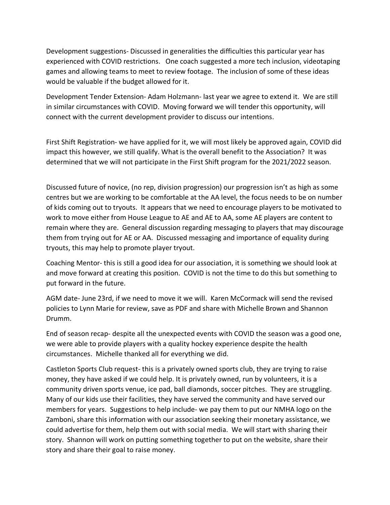Development suggestions- Discussed in generalities the difficulties this particular year has experienced with COVID restrictions. One coach suggested a more tech inclusion, videotaping games and allowing teams to meet to review footage. The inclusion of some of these ideas would be valuable if the budget allowed for it.

Development Tender Extension- Adam Holzmann- last year we agree to extend it. We are still in similar circumstances with COVID. Moving forward we will tender this opportunity, will connect with the current development provider to discuss our intentions.

First Shift Registration- we have applied for it, we will most likely be approved again, COVID did impact this however, we still qualify. What is the overall benefit to the Association? It was determined that we will not participate in the First Shift program for the 2021/2022 season.

Discussed future of novice, (no rep, division progression) our progression isn't as high as some centres but we are working to be comfortable at the AA level, the focus needs to be on number of kids coming out to tryouts. It appears that we need to encourage players to be motivated to work to move either from House League to AE and AE to AA, some AE players are content to remain where they are. General discussion regarding messaging to players that may discourage them from trying out for AE or AA. Discussed messaging and importance of equality during tryouts, this may help to promote player tryout.

Coaching Mentor- this is still a good idea for our association, it is something we should look at and move forward at creating this position. COVID is not the time to do this but something to put forward in the future.

AGM date- June 23rd, if we need to move it we will. Karen McCormack will send the revised policies to Lynn Marie for review, save as PDF and share with Michelle Brown and Shannon Drumm.

End of season recap- despite all the unexpected events with COVID the season was a good one, we were able to provide players with a quality hockey experience despite the health circumstances. Michelle thanked all for everything we did.

Castleton Sports Club request- this is a privately owned sports club, they are trying to raise money, they have asked if we could help. It is privately owned, run by volunteers, it is a community driven sports venue, ice pad, ball diamonds, soccer pitches. They are struggling. Many of our kids use their facilities, they have served the community and have served our members for years. Suggestions to help include- we pay them to put our NMHA logo on the Zamboni, share this information with our association seeking their monetary assistance, we could advertise for them, help them out with social media. We will start with sharing their story. Shannon will work on putting something together to put on the website, share their story and share their goal to raise money.